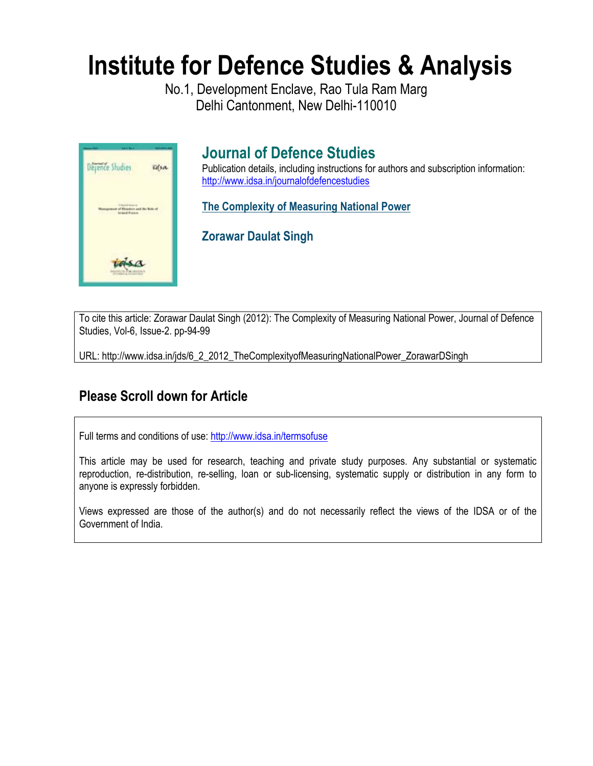# **Institute for Defence Studies & Analysis**

No.1, Development Enclave, Rao Tula Ram Marg Delhi Cantonment, New Delhi-110010



## **Journal of Defence Studies**

Publication details, including instructions for authors and subscription information: http://www.idsa.in/journalofdefencestudies

**The Complexity of Measuring National Power** 

**Zorawar Daulat Singh** 

To cite this article: Zorawar Daulat Singh (2012): The Complexity of Measuring National Power, Journal of Defence Studies, Vol-6, Issue-2. pp-94-99

URL: http://www.idsa.in/jds/6\_2\_2012\_TheComplexityofMeasuringNationalPower\_ZorawarDSingh

### **Please Scroll down for Article**

Full terms and conditions of use: http://www.idsa.in/termsofuse

This article may be used for research, teaching and private study purposes. Any substantial or systematic reproduction, re-distribution, re-selling, loan or sub-licensing, systematic supply or distribution in any form to anyone is expressly forbidden.

Views expressed are those of the author(s) and do not necessarily reflect the views of the IDSA or of the Government of India.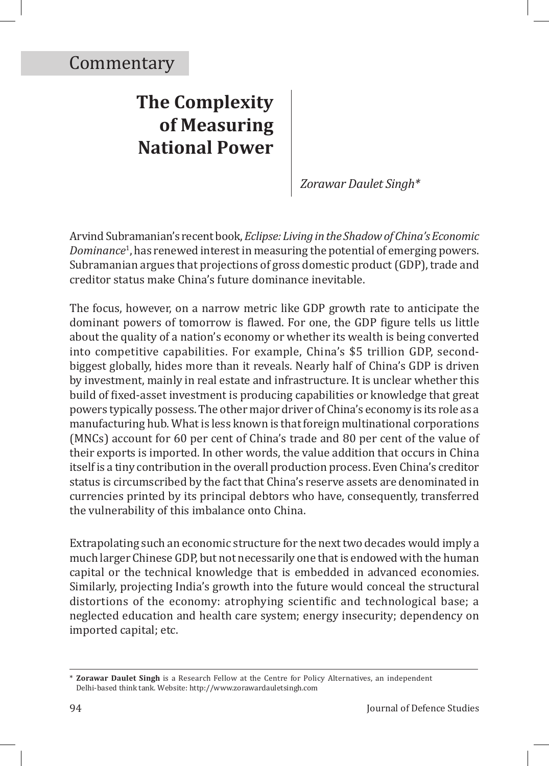# **The Complexity of Measuring National Power**

*Zorawar Daulet Singh\**

Arvind Subramanian's recent book, *Eclipse: Living in the Shadow of China's Economic Dominance*<sup>1</sup> , has renewed interest in measuring the potential of emerging powers. Subramanian argues that projections of gross domestic product (GDP), trade and creditor status make China's future dominance inevitable.

The focus, however, on a narrow metric like GDP growth rate to anticipate the dominant powers of tomorrow is flawed. For one, the GDP figure tells us little about the quality of a nation's economy or whether its wealth is being converted into competitive capabilities. For example, China's \$5 trillion GDP, secondbiggest globally, hides more than it reveals. Nearly half of China's GDP is driven by investment, mainly in real estate and infrastructure. It is unclear whether this build of fixed-asset investment is producing capabilities or knowledge that great powers typically possess. The other major driver of China's economy is its role as a manufacturing hub. What is less known is that foreign multinational corporations (MNCs) account for 60 per cent of China's trade and 80 per cent of the value of their exports is imported. In other words, the value addition that occurs in China itself is a tiny contribution in the overall production process. Even China's creditor status is circumscribed by the fact that China's reserve assets are denominated in currencies printed by its principal debtors who have, consequently, transferred the vulnerability of this imbalance onto China.

Extrapolating such an economic structure for the next two decades would imply a much larger Chinese GDP, but not necessarily one that is endowed with the human capital or the technical knowledge that is embedded in advanced economies. Similarly, projecting India's growth into the future would conceal the structural distortions of the economy: atrophying scientific and technological base; a neglected education and health care system; energy insecurity; dependency on imported capital; etc.

<sup>\*</sup> **Zorawar Daulet Singh** is a Research Fellow at the Centre for Policy Alternatives, an independent Delhi-based think tank. Website: http://www.zorawardauletsingh.com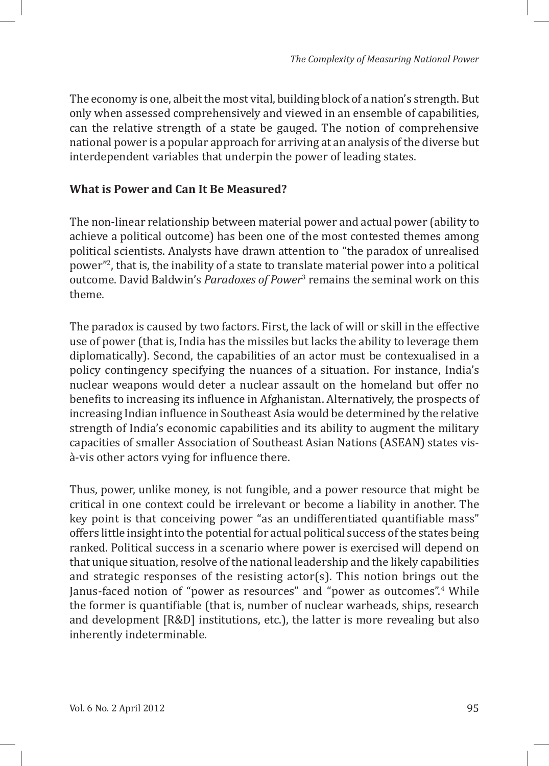The economy is one, albeit the most vital, building block of a nation's strength. But only when assessed comprehensively and viewed in an ensemble of capabilities, can the relative strength of a state be gauged. The notion of comprehensive national power is a popular approach for arriving at an analysis of the diverse but interdependent variables that underpin the power of leading states.

### **What is Power and Can It Be Measured?**

The non-linear relationship between material power and actual power (ability to achieve a political outcome) has been one of the most contested themes among political scientists. Analysts have drawn attention to "the paradox of unrealised power"2 , that is, the inability of a state to translate material power into a political outcome. David Baldwin's *Paradoxes of Power*<sup>3</sup> remains the seminal work on this theme.

The paradox is caused by two factors. First, the lack of will or skill in the effective use of power (that is, India has the missiles but lacks the ability to leverage them diplomatically). Second, the capabilities of an actor must be contexualised in a policy contingency specifying the nuances of a situation. For instance, India's nuclear weapons would deter a nuclear assault on the homeland but offer no benefits to increasing its influence in Afghanistan. Alternatively, the prospects of increasing Indian influence in Southeast Asia would be determined by the relative strength of India's economic capabilities and its ability to augment the military capacities of smaller Association of Southeast Asian Nations (ASEAN) states visà-vis other actors vying for influence there.

Thus, power, unlike money, is not fungible, and a power resource that might be critical in one context could be irrelevant or become a liability in another. The key point is that conceiving power "as an undifferentiated quantifiable mass" offers little insight into the potential for actual political success of the states being ranked. Political success in a scenario where power is exercised will depend on that unique situation, resolve of the national leadership and the likely capabilities and strategic responses of the resisting actor(s). This notion brings out the Janus-faced notion of "power as resources" and "power as outcomes".<sup>4</sup> While the former is quantifiable (that is, number of nuclear warheads, ships, research and development [R&D] institutions, etc.), the latter is more revealing but also inherently indeterminable.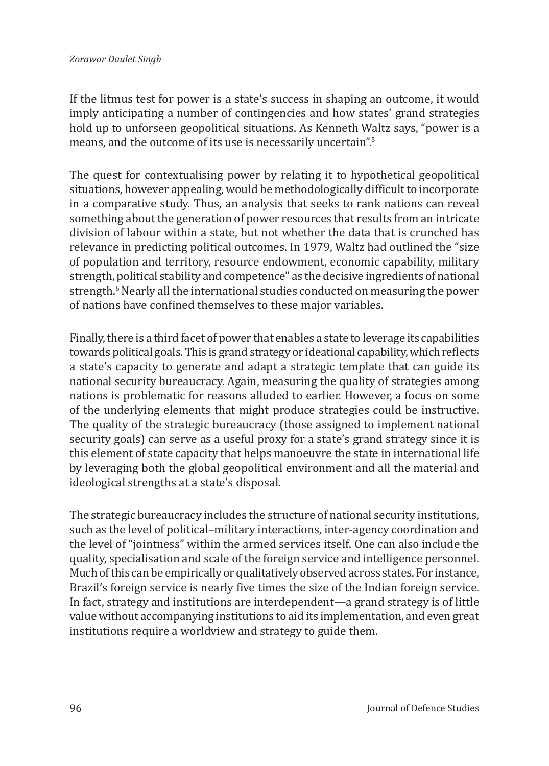If the litmus test for power is a state's success in shaping an outcome, it would imply anticipating a number of contingencies and how states' grand strategies hold up to unforseen geopolitical situations. As Kenneth Waltz says, "power is a means, and the outcome of its use is necessarily uncertain".<sup>5</sup>

The quest for contextualising power by relating it to hypothetical geopolitical situations, however appealing, would be methodologically difficult to incorporate in a comparative study. Thus, an analysis that seeks to rank nations can reveal something about the generation of power resources that results from an intricate division of labour within a state, but not whether the data that is crunched has relevance in predicting political outcomes. In 1979, Waltz had outlined the "size of population and territory, resource endowment, economic capability, military strength, political stability and competence" as the decisive ingredients of national strength.<sup>6</sup> Nearly all the international studies conducted on measuring the power of nations have confined themselves to these major variables.

Finally, there is a third facet of power that enables a state to leverage its capabilities towards political goals. This is grand strategy or ideational capability, which reflects a state's capacity to generate and adapt a strategic template that can guide its national security bureaucracy. Again, measuring the quality of strategies among nations is problematic for reasons alluded to earlier. However, a focus on some of the underlying elements that might produce strategies could be instructive. The quality of the strategic bureaucracy (those assigned to implement national security goals) can serve as a useful proxy for a state's grand strategy since it is this element of state capacity that helps manoeuvre the state in international life by leveraging both the global geopolitical environment and all the material and ideological strengths at a state's disposal.

The strategic bureaucracy includes the structure of national security institutions, such as the level of political–military interactions, inter-agency coordination and the level of "jointness" within the armed services itself. One can also include the quality, specialisation and scale of the foreign service and intelligence personnel. Much of this can be empirically or qualitatively observed across states. For instance, Brazil's foreign service is nearly five times the size of the Indian foreign service. In fact, strategy and institutions are interdependent—a grand strategy is of little value without accompanying institutions to aid its implementation, and even great institutions require a worldview and strategy to guide them.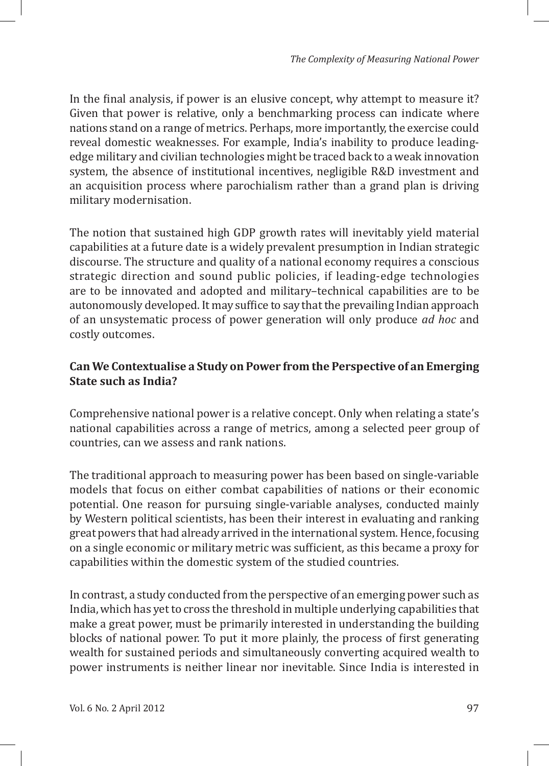In the final analysis, if power is an elusive concept, why attempt to measure it? Given that power is relative, only a benchmarking process can indicate where nations stand on a range of metrics. Perhaps, more importantly, the exercise could reveal domestic weaknesses. For example, India's inability to produce leadingedge military and civilian technologies might be traced back to a weak innovation system, the absence of institutional incentives, negligible R&D investment and an acquisition process where parochialism rather than a grand plan is driving military modernisation.

The notion that sustained high GDP growth rates will inevitably yield material capabilities at a future date is a widely prevalent presumption in Indian strategic discourse. The structure and quality of a national economy requires a conscious strategic direction and sound public policies, if leading-edge technologies are to be innovated and adopted and military–technical capabilities are to be autonomously developed. It may suffice to say that the prevailing Indian approach of an unsystematic process of power generation will only produce *ad hoc* and costly outcomes.

### **Can We Contextualise a Study on Power from the Perspective of an Emerging State such as India?**

Comprehensive national power is a relative concept. Only when relating a state's national capabilities across a range of metrics, among a selected peer group of countries, can we assess and rank nations.

The traditional approach to measuring power has been based on single-variable models that focus on either combat capabilities of nations or their economic potential. One reason for pursuing single-variable analyses, conducted mainly by Western political scientists, has been their interest in evaluating and ranking great powers that had already arrived in the international system. Hence, focusing on a single economic or military metric was sufficient, as this became a proxy for capabilities within the domestic system of the studied countries.

In contrast, a study conducted from the perspective of an emerging power such as India, which has yet to cross the threshold in multiple underlying capabilities that make a great power, must be primarily interested in understanding the building blocks of national power. To put it more plainly, the process of first generating wealth for sustained periods and simultaneously converting acquired wealth to power instruments is neither linear nor inevitable. Since India is interested in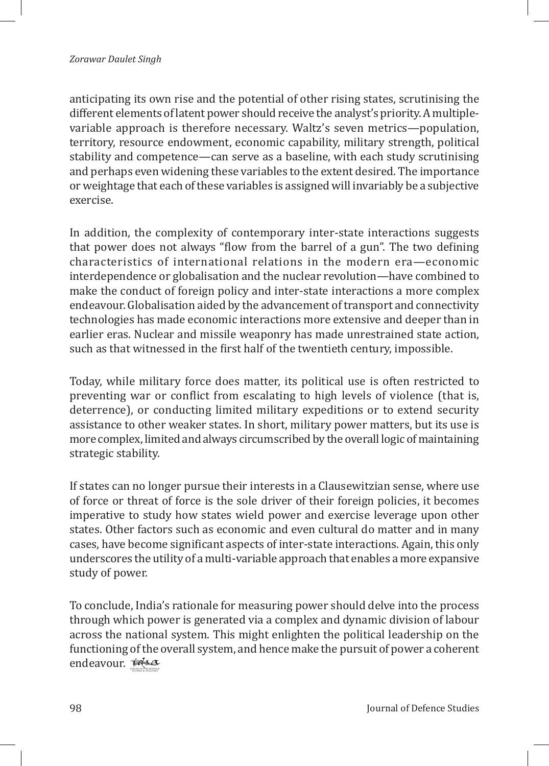#### *Zorawar Daulet Singh*

anticipating its own rise and the potential of other rising states, scrutinising the different elements of latent power should receive the analyst's priority. A multiplevariable approach is therefore necessary. Waltz's seven metrics—population, territory, resource endowment, economic capability, military strength, political stability and competence—can serve as a baseline, with each study scrutinising and perhaps even widening these variables to the extent desired. The importance or weightage that each of these variables is assigned will invariably be a subjective exercise.

In addition, the complexity of contemporary inter-state interactions suggests that power does not always "flow from the barrel of a gun". The two defining characteristics of international relations in the modern era—economic interdependence or globalisation and the nuclear revolution—have combined to make the conduct of foreign policy and inter-state interactions a more complex endeavour. Globalisation aided by the advancement of transport and connectivity technologies has made economic interactions more extensive and deeper than in earlier eras. Nuclear and missile weaponry has made unrestrained state action, such as that witnessed in the first half of the twentieth century, impossible.

Today, while military force does matter, its political use is often restricted to preventing war or conflict from escalating to high levels of violence (that is, deterrence), or conducting limited military expeditions or to extend security assistance to other weaker states. In short, military power matters, but its use is more complex, limited and always circumscribed by the overall logic of maintaining strategic stability.

If states can no longer pursue their interests in a Clausewitzian sense, where use of force or threat of force is the sole driver of their foreign policies, it becomes imperative to study how states wield power and exercise leverage upon other states. Other factors such as economic and even cultural do matter and in many cases, have become significant aspects of inter-state interactions. Again, this only underscores the utility of a multi-variable approach that enables a more expansive study of power.

To conclude, India's rationale for measuring power should delve into the process through which power is generated via a complex and dynamic division of labour across the national system. This might enlighten the political leadership on the functioning of the overall system, and hence make the pursuit of power a coherent endeavour. *ids*